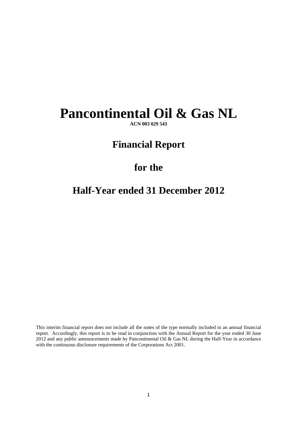# **Pancontinental Oil & Gas NL**

**ACN 003 029 543** 

# **Financial Report**

# **for the**

# **Half-Year ended 31 December 2012**

This interim financial report does not include all the notes of the type normally included in an annual financial report. Accordingly, this report is to be read in conjunction with the Annual Report for the year ended 30 June 2012 and any public announcements made by Pancontinental Oil & Gas NL during the Half-Year in accordance with the continuous disclosure requirements of the Corporations Act 2001.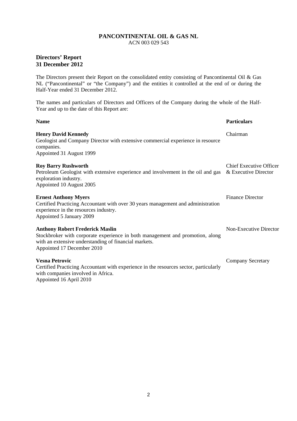# ACN 003 029 543

# **Directors' Report 31 December 2012**

The Directors present their Report on the consolidated entity consisting of Pancontinental Oil & Gas NL ("Pancontinental" or "the Company") and the entities it controlled at the end of or during the Half-Year ended 31 December 2012.

The names and particulars of Directors and Officers of the Company during the whole of the Half-Year and up to the date of this Report are:

| <b>Name</b>                                                                                                                                                                                                    | <b>Particulars</b>                                     |
|----------------------------------------------------------------------------------------------------------------------------------------------------------------------------------------------------------------|--------------------------------------------------------|
| <b>Henry David Kennedy</b><br>Geologist and Company Director with extensive commercial experience in resource<br>companies.<br>Appointed 31 August 1999                                                        | Chairman                                               |
| <b>Roy Barry Rushworth</b><br>Petroleum Geologist with extensive experience and involvement in the oil and gas<br>exploration industry.<br>Appointed 10 August 2005                                            | <b>Chief Executive Officer</b><br>& Executive Director |
| <b>Ernest Anthony Myers</b><br>Certified Practicing Accountant with over 30 years management and administration<br>experience in the resources industry.<br>Appointed 5 January 2009                           | <b>Finance Director</b>                                |
| <b>Anthony Robert Frederick Maslin</b><br>Stockbroker with corporate experience in both management and promotion, along<br>with an extensive understanding of financial markets.<br>Appointed 17 December 2010 | Non-Executive Director                                 |
| <b>Vesna Petrovic</b><br>Certified Practicing Accountant with experience in the resources sector, particularly<br>with companies involved in Africa.<br>Appointed 16 April 2010                                | <b>Company Secretary</b>                               |

2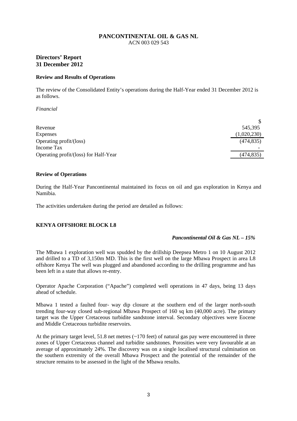# **Directors' Report 31 December 2012**

#### **Review and Results of Operations**

The review of the Consolidated Entity's operations during the Half-Year ended 31 December 2012 is as follows.

*Financial* 

| 545,395     |
|-------------|
| (1,020,230) |
| (474, 835)  |
|             |
| (474, 835)  |
|             |

#### **Review of Operations**

During the Half-Year Pancontinental maintained its focus on oil and gas exploration in Kenya and Namibia.

The activities undertaken during the period are detailed as follows:

#### **KENYA OFFSHORE BLOCK L8**

#### *Pancontinental Oil & Gas NL – 15%*

The Mbawa 1 exploration well was spudded by the drillship Deepsea Metro 1 on 10 August 2012 and drilled to a TD of 3,150m MD. This is the first well on the large Mbawa Prospect in area L8 offshore Kenya The well was plugged and abandoned according to the drilling programme and has been left in a state that allows re-entry.

Operator Apache Corporation ("Apache") completed well operations in 47 days, being 13 days ahead of schedule.

Mbawa 1 tested a faulted four- way dip closure at the southern end of the larger north-south trending four-way closed sub-regional Mbawa Prospect of 160 sq km (40,000 acre). The primary target was the Upper Cretaceous turbidite sandstone interval. Secondary objectives were Eocene and Middle Cretaceous turbidite reservoirs.

At the primary target level, 51.8 net metres (~170 feet) of natural gas pay were encountered in three zones of Upper Cretaceous channel and turbidite sandstones. Porosities were very favourable at an average of approximately 24%. The discovery was on a single localised structural culmination on the southern extremity of the overall Mbawa Prospect and the potential of the remainder of the structure remains to be assessed in the light of the Mbawa results.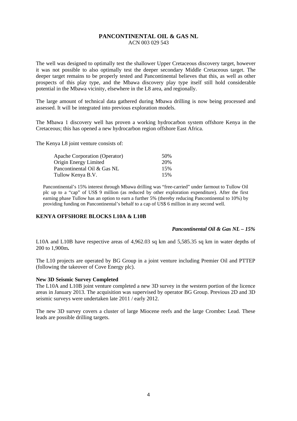The well was designed to optimally test the shallower Upper Cretaceous discovery target, however it was not possible to also optimally test the deeper secondary Middle Cretaceous target. The deeper target remains to be properly tested and Pancontinental believes that this, as well as other prospects of this play type, and the Mbawa discovery play type itself still hold considerable potential in the Mbawa vicinity, elsewhere in the L8 area, and regionally.

The large amount of technical data gathered during Mbawa drilling is now being processed and assessed. It will be integrated into previous exploration models.

The Mbawa 1 discovery well has proven a working hydrocarbon system offshore Kenya in the Cretaceous; this has opened a new hydrocarbon region offshore East Africa.

The Kenya L8 joint venture consists of:

| Apache Corporation (Operator) | .50% |
|-------------------------------|------|
| Origin Energy Limited         | 20%  |
| Pancontinental Oil & Gas NL   | 15%  |
| Tullow Kenya B.V.             | 15%  |

Pancontinental's 15% interest through Mbawa drilling was "free-carried" under farmout to Tullow Oil plc up to a "cap" of US\$ 9 million (as reduced by other exploration expenditure). After the first earning phase Tullow has an option to earn a further 5% (thereby reducing Pancontinental to 10%) by providing funding on Pancontinental's behalf to a cap of US\$ 6 million in any second well.

#### **KENYA OFFSHORE BLOCKS L10A & L10B**

#### *Pancontinental Oil & Gas NL – 15%*

L10A and L10B have respective areas of 4,962.03 sq km and 5,585.35 sq km in water depths of 200 to 1,900m**.**

The L10 projects are operated by BG Group in a joint venture including Premier Oil and PTTEP (following the takeover of Cove Energy plc).

#### **New 3D Seismic Survey Completed**

The L10A and L10B joint venture completed a new 3D survey in the western portion of the licence areas in January 2013. The acquisition was supervised by operator BG Group. Previous 2D and 3D seismic surveys were undertaken late 2011 / early 2012.

The new 3D survey covers a cluster of large Miocene reefs and the large Crombec Lead. These leads are possible drilling targets.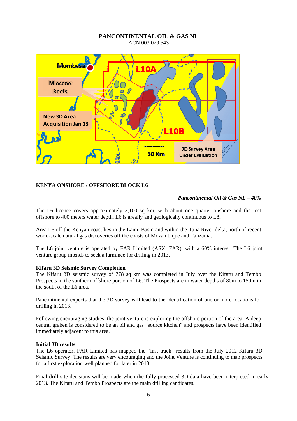

### **KENYA ONSHORE / OFFSHORE BLOCK L6**

#### *Pancontinental Oil & Gas NL – 40%*

The L6 licence covers approximately 3,100 sq km, with about one quarter onshore and the rest offshore to 400 meters water depth. L6 is areally and geologically continuous to L8.

Area L6 off the Kenyan coast lies in the Lamu Basin and within the Tana River delta, north of recent world-scale natural gas discoveries off the coasts of Mozambique and Tanzania.

The L6 joint venture is operated by FAR Limited (ASX: FAR), with a 60% interest. The L6 joint venture group intends to seek a farminee for drilling in 2013.

#### **Kifaru 3D Seismic Survey Completion**

The Kifaru 3D seismic survey of 778 sq km was completed in July over the Kifaru and Tembo Prospects in the southern offshore portion of L6. The Prospects are in water depths of 80m to 150m in the south of the L6 area.

Pancontinental expects that the 3D survey will lead to the identification of one or more locations for drilling in 2013.

Following encouraging studies, the joint venture is exploring the offshore portion of the area. A deep central graben is considered to be an oil and gas "source kitchen" and prospects have been identified immediately adjacent to this area.

#### **Initial 3D results**

The L6 operator, FAR Limited has mapped the "fast track" results from the July 2012 Kifaru 3D Seismic Survey. The results are very encouraging and the Joint Venture is continuing to map prospects for a first exploration well planned for later in 2013.

Final drill site decisions will be made when the fully processed 3D data have been interpreted in early 2013. The Kifaru and Tembo Prospects are the main drilling candidates.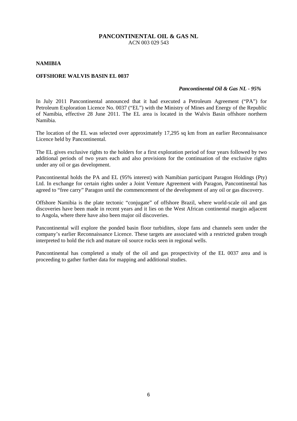#### **NAMIBIA**

#### **OFFSHORE WALVIS BASIN EL 0037**

#### *Pancontinental Oil & Gas NL - 95%*

In July 2011 Pancontinental announced that it had executed a Petroleum Agreement ("PA") for Petroleum Exploration Licence No. 0037 ("EL") with the Ministry of Mines and Energy of the Republic of Namibia, effective 28 June 2011. The EL area is located in the Walvis Basin offshore northern Namibia.

The location of the EL was selected over approximately 17,295 sq km from an earlier Reconnaissance Licence held by Pancontinental.

The EL gives exclusive rights to the holders for a first exploration period of four years followed by two additional periods of two years each and also provisions for the continuation of the exclusive rights under any oil or gas development.

Pancontinental holds the PA and EL (95% interest) with Namibian participant Paragon Holdings (Pty) Ltd. In exchange for certain rights under a Joint Venture Agreement with Paragon, Pancontinental has agreed to "free carry" Paragon until the commencement of the development of any oil or gas discovery.

Offshore Namibia is the plate tectonic "conjugate" of offshore Brazil, where world-scale oil and gas discoveries have been made in recent years and it lies on the West African continental margin adjacent to Angola, where there have also been major oil discoveries.

Pancontinental will explore the ponded basin floor turbidites, slope fans and channels seen under the company's earlier Reconnaissance Licence. These targets are associated with a restricted graben trough interpreted to hold the rich and mature oil source rocks seen in regional wells.

Pancontinental has completed a study of the oil and gas prospectivity of the EL 0037 area and is proceeding to gather further data for mapping and additional studies.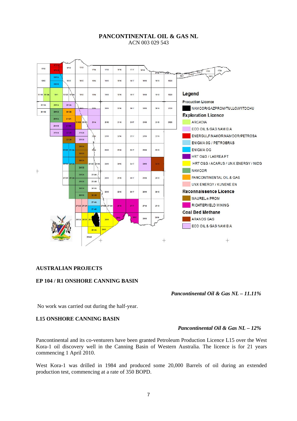

#### **AUSTRALIAN PROJECTS**

#### **EP 104 / R1 ONSHORE CANNING BASIN**

*Pancontinental Oil & Gas NL – 11.11%* 

No work was carried out during the half-year.

#### **L15 ONSHORE CANNING BASIN**

# *Pancontinental Oil & Gas NL – 12%*

Pancontinental and its co-venturers have been granted Petroleum Production Licence L15 over the West Kora-1 oil discovery well in the Canning Basin of Western Australia. The licence is for 21 years commencing 1 April 2010.

West Kora-1 was drilled in 1984 and produced some 20,000 Barrels of oil during an extended production test, commencing at a rate of 350 BOPD.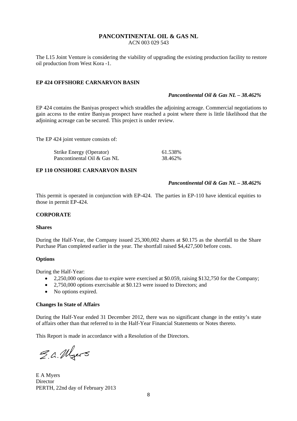The L15 Joint Venture is considering the viability of upgrading the existing production facility to restore oil production from West Kora -1.

### **EP 424 OFFSHORE CARNARVON BASIN**

#### *Pancontinental Oil & Gas NL – 38.462%*

EP 424 contains the Baniyas prospect which straddles the adjoining acreage. Commercial negotiations to gain access to the entire Baniyas prospect have reached a point where there is little likelihood that the adjoining acreage can be secured. This project is under review.

The EP 424 joint venture consists of:

| <b>Strike Energy (Operator)</b> | 61.538% |
|---------------------------------|---------|
| Pancontinental Oil & Gas NL     | 38.462% |

#### **EP 110 ONSHORE CARNARVON BASIN**

#### *Pancontinental Oil & Gas NL – 38.462%*

This permit is operated in conjunction with EP-424. The parties in EP-110 have identical equities to those in permit EP-424.

#### **CORPORATE**

#### **Shares**

During the Half-Year, the Company issued 25,300,002 shares at \$0.175 as the shortfall to the Share Purchase Plan completed earlier in the year. The shortfall raised \$4,427,500 before costs.

#### **Options**

During the Half-Year:

- 2,250,000 options due to expire were exercised at \$0.059, raising \$132,750 for the Company;
- 2,750,000 options exercisable at \$0.123 were issued to Directors; and
- No options expired.

#### **Changes In State of Affairs**

During the Half-Year ended 31 December 2012, there was no significant change in the entity's state of affairs other than that referred to in the Half-Year Financial Statements or Notes thereto.

This Report is made in accordance with a Resolution of the Directors.

E.a. Myers

E A Myers **Director** PERTH, 22nd day of February 2013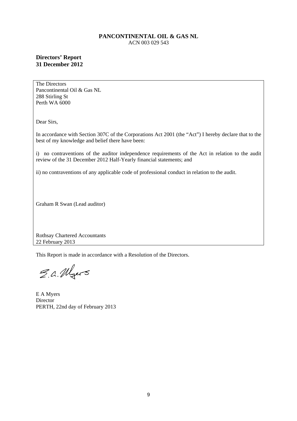# **Directors' Report 31 December 2012**

The Directors Pancontinental Oil & Gas NL 288 Stirling St Perth WA 6000

Dear Sirs,

In accordance with Section 307C of the Corporations Act 2001 (the "Act") I hereby declare that to the best of my knowledge and belief there have been:

i) no contraventions of the auditor independence requirements of the Act in relation to the audit review of the 31 December 2012 Half-Yearly financial statements; and

ii) no contraventions of any applicable code of professional conduct in relation to the audit.

Graham R Swan (Lead auditor)

Rothsay Chartered Accountants 22 February 2013

This Report is made in accordance with a Resolution of the Directors.

S.a. Myers

E A Myers **Director** PERTH, 22nd day of February 2013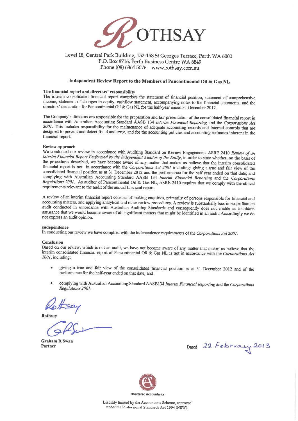

### Level 18, Central Park Building, 152-158 St Georges Terrace, Perth WA 6000 P.O. Box 8716, Perth Business Centre WA 6849 Phone (08) 6364 5076 www.rothsay.com.au

#### Independent Review Report to the Members of Pancontinental Oil & Gas NL

#### The financial report and directors' responsibility

The interim consolidated financial report comprises the statement of financial position, statement of comprehensive income, statement of changes in equity, cashflow statement, accompanying notes to the financial statements, and the directors' declaration for Pancontinental Oil & Gas NL for the half-year ended 31 December 2012.

The Company's directors are responsible for the preparation and fair presentation of the consolidated financial report in accordance with Australian Accounting Standard AASB 134 Interim Financial Reporting and the Corporations Act 2001. This includes responsibility for the maintenance of adequate accounting records and internal controls that are designed to prevent and detect fraud and error, and for the accounting policies and accounting estimates inherent in the financial report.

#### Review approach

We conducted our review in accordance with Auditing Standard on Review Engagements ASRE 2410 Review of an Interim Financial Report Performed by the Independent Auditor of the Entity, in order to state whether, on the basis of the procedures described, we have become aware of any matter that makes us believe that the interim consolidated financial report is not in accordance with the Corporations Act 2001 including: giving a true and fair view of the consolidated financial position as at 31 December 2012 and the performance for the half year ended on that date; and complying with Australian Accounting Standard AASB 134 Interim Financial Reporting and the Corporations Regulations 2001. As auditor of Pancontinental Oil & Gas NL, ASRE 2410 requires that we comply with the ethical requirements relevant to the audit of the annual financial report.

A review of an interim financial report consists of making enquiries, primarily of persons responsible for financial and accounting matters, and applying analytical and other review procedures. A review is substantially less in scope than an audit conducted in accordance with Australian Auditing Standards and consequently does not enable us to obtain assurance that we would become aware of all significant matters that might be identified in an audit. Accordingly we do not express an audit opinion.

#### Independence

In conducting our review we have complied with the independence requirements of the Corporations Act 2001.

#### Conclusion

Based on our review, which is not an audit, we have not become aware of any matter that makes us believe that the interim consolidated financial report of Pancontinental Oil & Gas NL is not in accordance with the Corporations Act 2001, including:

- giving a true and fair view of the consolidated financial position as at 31 December 2012 and of the performance for the half-year ended on that date; and
- complying with Australian Accounting Standard AASB134 Interim Financial Reporting and the Corporations Regulations 2001.

Rothsay

**Graham R Swan** Partner

Dated 22 February 2013



Liability limited by the Accountants Scheme, approved under the Professional Standards Act 1994 (NSW).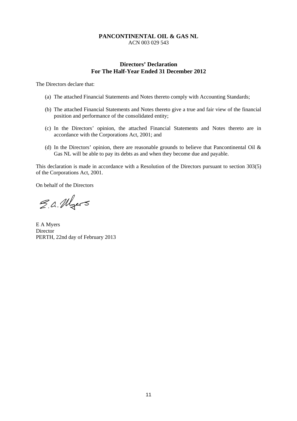# **Directors' Declaration For The Half-Year Ended 31 December 2012**

The Directors declare that:

- (a) The attached Financial Statements and Notes thereto comply with Accounting Standards;
- (b) The attached Financial Statements and Notes thereto give a true and fair view of the financial position and performance of the consolidated entity;
- (c) In the Directors' opinion, the attached Financial Statements and Notes thereto are in accordance with the Corporations Act, 2001; and
- (d) In the Directors' opinion, there are reasonable grounds to believe that Pancontinental Oil & Gas NL will be able to pay its debts as and when they become due and payable.

This declaration is made in accordance with a Resolution of the Directors pursuant to section 303(5) of the Corporations Act, 2001.

On behalf of the Directors

E.a. Myers

E A Myers Director PERTH, 22nd day of February 2013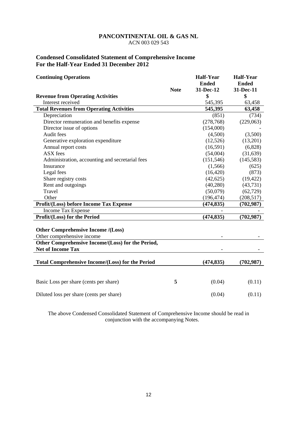# **Condensed Consolidated Statement of Comprehensive Income For the Half-Year Ended 31 December 2012**

| <b>Continuing Operations</b>                            |             | <b>Half-Year</b> | <b>Half-Year</b> |
|---------------------------------------------------------|-------------|------------------|------------------|
|                                                         |             | <b>Ended</b>     | <b>Ended</b>     |
|                                                         | <b>Note</b> | 31-Dec-12        | 31-Dec-11        |
| <b>Revenue from Operating Activities</b>                |             | \$               | \$               |
| Interest received                                       |             | 545,395          | 63,458           |
| <b>Total Revenues from Operating Activities</b>         |             | 545,395          | 63,458           |
| Depreciation                                            |             | (851)            | (734)            |
| Director remuneration and benefits expense              |             | (278, 768)       | (229,063)        |
| Director issue of options                               |             | (154,000)        |                  |
| Audit fees                                              |             | (4,500)          | (3,500)          |
| Generative exploration expenditure                      |             | (12,526)         | (13,201)         |
| Annual report costs                                     |             | (16,591)         | (6,828)          |
| ASX fees                                                |             | (54,004)         | (31, 639)        |
| Administration, accounting and secretarial fees         |             | (151, 546)       | (145, 583)       |
| Insurance                                               |             | (1, 566)         | (625)            |
| Legal fees                                              |             | (16, 420)        | (873)            |
| Share registry costs                                    |             | (42, 625)        | (19, 422)        |
| Rent and outgoings                                      |             | (40, 280)        | (43, 731)        |
| Travel                                                  |             | (50,079)         | (62, 729)        |
| Other                                                   |             | (196, 474)       | (208, 517)       |
| Profit/(Loss) before Income Tax Expense                 |             | (474, 835)       | (702, 987)       |
| <b>Income Tax Expense</b>                               |             |                  |                  |
| Profit/(Loss) for the Period                            |             | (474, 835)       | (702, 987)       |
|                                                         |             |                  |                  |
| <b>Other Comprehensive Income /(Loss)</b>               |             |                  |                  |
| Other comprehensive income                              |             |                  |                  |
| Other Comprehensive Income/(Loss) for the Period,       |             |                  |                  |
| <b>Net of Income Tax</b>                                |             |                  |                  |
|                                                         |             |                  |                  |
| <b>Total Comprehensive Income/(Loss) for the Period</b> |             | (474, 835)       | (702, 987)       |
|                                                         |             |                  |                  |
| Basic Loss per share (cents per share)                  | 5           | (0.04)           | (0.11)           |
| Diluted loss per share (cents per share)                |             | (0.04)           | (0.11)           |

The above Condensed Consolidated Statement of Comprehensive Income should be read in conjunction with the accompanying Notes.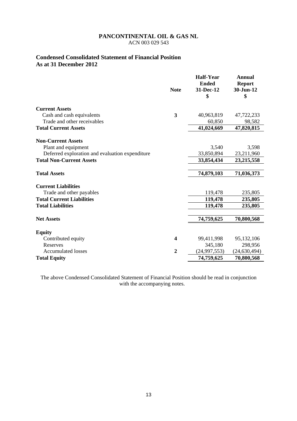# **Condensed Consolidated Statement of Financial Position As at 31 December 2012**

|                                                 | <b>Note</b>    | <b>Half-Year</b><br><b>Ended</b><br>31-Dec-12<br>\$ | <b>Annual</b><br><b>Report</b><br>30-Jun-12<br>\$ |
|-------------------------------------------------|----------------|-----------------------------------------------------|---------------------------------------------------|
| <b>Current Assets</b>                           |                |                                                     |                                                   |
| Cash and cash equivalents                       | 3              | 40,963,819                                          | 47,722,233                                        |
| Trade and other receivables                     |                | 60,850                                              | 98,582                                            |
| <b>Total Current Assets</b>                     |                | 41,024,669                                          | 47,820,815                                        |
| <b>Non-Current Assets</b>                       |                |                                                     |                                                   |
| Plant and equipment                             |                | 3,540                                               | 3,598                                             |
| Deferred exploration and evaluation expenditure |                | 33,850,894                                          | 23,211,960                                        |
| <b>Total Non-Current Assets</b>                 |                | 33,854,434                                          | 23,215,558                                        |
| <b>Total Assets</b>                             |                | 74,879,103                                          | 71,036,373                                        |
| <b>Current Liabilities</b>                      |                |                                                     |                                                   |
| Trade and other payables                        |                | 119,478                                             | 235,805                                           |
| <b>Total Current Liabilities</b>                |                | 119,478                                             | 235,805                                           |
| <b>Total Liabilities</b>                        |                | 119,478                                             | 235,805                                           |
| <b>Net Assets</b>                               |                | 74,759,625                                          | 70,800,568                                        |
| <b>Equity</b>                                   |                |                                                     |                                                   |
| Contributed equity                              | 4              | 99,411,998                                          | 95,132,106                                        |
| Reserves                                        |                | 345,180                                             | 298,956                                           |
| <b>Accumulated losses</b>                       | $\overline{2}$ | (24, 997, 553)                                      | (24, 630, 494)                                    |
| <b>Total Equity</b>                             |                | 74,759,625                                          | 70,800,568                                        |

The above Condensed Consolidated Statement of Financial Position should be read in conjunction with the accompanying notes.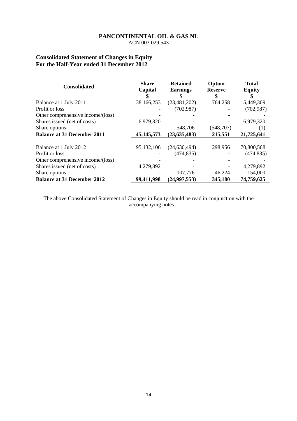# **Consolidated Statement of Changes in Equity For the Half-Year ended 31 December 2012**

| <b>Consolidated</b>                | <b>Share</b><br>Capital | <b>Retained</b><br><b>Earnings</b> | Option<br><b>Reserve</b> | <b>Total</b><br><b>Equity</b> |
|------------------------------------|-------------------------|------------------------------------|--------------------------|-------------------------------|
|                                    |                         |                                    | \$                       |                               |
| Balance at 1 July 2011             | 38,166,253              | (23, 481, 202)                     | 764,258                  | 15,449,309                    |
| Profit or loss                     |                         | (702, 987)                         |                          | (702, 987)                    |
| Other comprehensive income/(loss)  |                         |                                    |                          |                               |
| Shares issued (net of costs)       | 6,979,320               |                                    |                          | 6,979,320                     |
| Share options                      |                         | 548,706                            | (548, 707)               | (1)                           |
| <b>Balance at 31 December 2011</b> | 45, 145, 573            | (23, 635, 483)                     | 215,551                  | 21,725,641                    |
|                                    |                         |                                    |                          |                               |
| Balance at 1 July 2012             | 95,132,106              | (24, 630, 494)                     | 298,956                  | 70,800,568                    |
| Profit or loss                     |                         | (474, 835)                         |                          | (474, 835)                    |
| Other comprehensive income/(loss)  |                         |                                    |                          |                               |
| Shares issued (net of costs)       | 4,279,892               |                                    |                          | 4,279,892                     |
| Share options                      |                         | 107,776                            | 46,224                   | 154,000                       |
| <b>Balance at 31 December 2012</b> | 99,411,998              | (24, 997, 553)                     | 345,180                  | 74,759,625                    |

The above Consolidated Statement of Changes in Equity should be read in conjunction with the accompanying notes.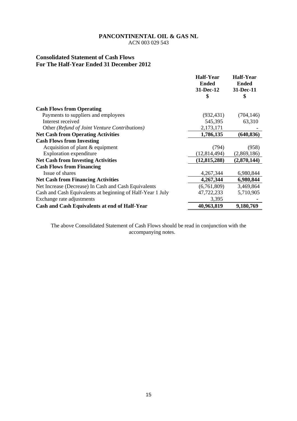ACN 003 029 543

# **Consolidated Statement of Cash Flows For The Half-Year Ended 31 December 2012**

|                                                            | <b>Half-Year</b> | <b>Half-Year</b> |
|------------------------------------------------------------|------------------|------------------|
|                                                            | <b>Ended</b>     | <b>Ended</b>     |
|                                                            | 31-Dec-12        | 31-Dec-11        |
|                                                            | \$               | \$               |
| <b>Cash Flows from Operating</b>                           |                  |                  |
| Payments to suppliers and employees                        | (932, 431)       | (704, 146)       |
| Interest received                                          | 545,395          | 63,310           |
| Other (Refund of Joint Venture Contributions)              | 2,173,171        |                  |
| <b>Net Cash from Operating Activities</b>                  | 1,786,135        | (640, 836)       |
| <b>Cash Flows from Investing</b>                           |                  |                  |
| Acquisition of plant $&$ equipment                         | (794)            | (958)            |
| <b>Exploration expenditure</b>                             | (12, 814, 494)   | (2,869,186)      |
| <b>Net Cash from Investing Activities</b>                  | (12, 815, 288)   | (2,870,144)      |
| <b>Cash Flows from Financing</b>                           |                  |                  |
| Issue of shares                                            | 4,267,344        | 6,980,844        |
| <b>Net Cash from Financing Activities</b>                  | 4,267,344        | 6,980,844        |
| Net Increase (Decrease) In Cash and Cash Equivalents       | (6,761,809)      | 3,469,864        |
| Cash and Cash Equivalents at beginning of Half-Year 1 July | 47,722,233       | 5,710,905        |
| Exchange rate adjustments                                  | 3,395            |                  |
| Cash and Cash Equivalents at end of Half-Year              | 40,963,819       | 9,180,769        |

The above Consolidated Statement of Cash Flows should be read in conjunction with the accompanying notes.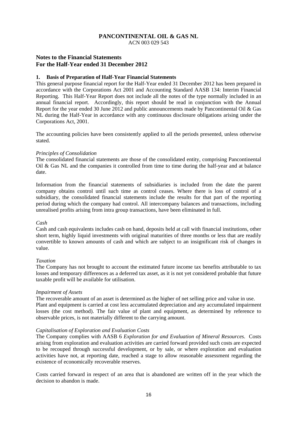ACN 003 029 543

# **Notes to the Financial Statements For the Half-Year ended 31 December 2012**

#### **1. Basis of Preparation of Half-Year Financial Statements**

This general purpose financial report for the Half-Year ended 31 December 2012 has been prepared in accordance with the Corporations Act 2001 and Accounting Standard AASB 134: Interim Financial Reporting. This Half-Year Report does not include all the notes of the type normally included in an annual financial report. Accordingly, this report should be read in conjunction with the Annual Report for the year ended 30 June 2012 and public announcements made by Pancontinental Oil & Gas NL during the Half-Year in accordance with any continuous disclosure obligations arising under the Corporations Act, 2001.

The accounting policies have been consistently applied to all the periods presented, unless otherwise stated.

#### *Principles of Consolidation*

The consolidated financial statements are those of the consolidated entity, comprising Pancontinental Oil & Gas NL and the companies it controlled from time to time during the half-year and at balance date.

Information from the financial statements of subsidiaries is included from the date the parent company obtains control until such time as control ceases. Where there is loss of control of a subsidiary, the consolidated financial statements include the results for that part of the reporting period during which the company had control. All intercompany balances and transactions, including unrealised profits arising from intra group transactions, have been eliminated in full.

#### *Cash*

Cash and cash equivalents includes cash on hand, deposits held at call with financial institutions, other short term, highly liquid investments with original maturities of three months or less that are readily convertible to known amounts of cash and which are subject to an insignificant risk of changes in value.

#### *Taxation*

The Company has not brought to account the estimated future income tax benefits attributable to tax losses and temporary differences as a deferred tax asset, as it is not yet considered probable that future taxable profit will be available for utilisation.

#### *Impairment of Assets*

The recoverable amount of an asset is determined as the higher of net selling price and value in use. Plant and equipment is carried at cost less accumulated depreciation and any accumulated impairment losses (the cost method). The fair value of plant and equipment, as determined by reference to observable prices, is not materially different to the carrying amount.

#### *Capitalisation of Exploration and Evaluation Costs*

The Company complies with AASB 6 *Exploration for and Evaluation of Mineral Resources*. Costs arising from exploration and evaluation activities are carried forward provided such costs are expected to be recouped through successful development, or by sale, or where exploration and evaluation activities have not, at reporting date, reached a stage to allow reasonable assessment regarding the existence of economically recoverable reserves.

Costs carried forward in respect of an area that is abandoned are written off in the year which the decision to abandon is made.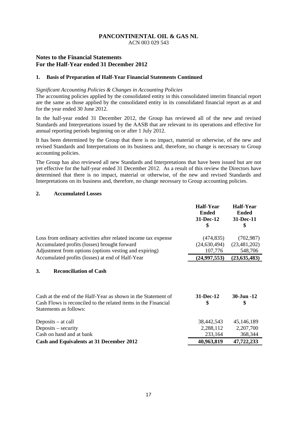ACN 003 029 543

# **Notes to the Financial Statements For the Half-Year ended 31 December 2012**

#### **1. Basis of Preparation of Half-Year Financial Statements Continued**

#### *Significant Accounting Policies & Changes in Accounting Policies*

The accounting policies applied by the consolidated entity in this consolidated interim financial report are the same as those applied by the consolidated entity in its consolidated financial report as at and for the year ended 30 June 2012.

In the half-year ended 31 December 2012, the Group has reviewed all of the new and revised Standards and Interpretations issued by the AASB that are relevant to its operations and effective for annual reporting periods beginning on or after 1 July 2012.

It has been determined by the Group that there is no impact, material or otherwise, of the new and revised Standards and Interpretations on its business and, therefore, no change is necessary to Group accounting policies.

The Group has also reviewed all new Standards and Interpretations that have been issued but are not yet effective for the half-year ended 31 December 2012. As a result of this review the Directors have determined that there is no impact, material or otherwise, of the new and revised Standards and Interpretations on its business and, therefore, no change necessary to Group accounting policies.

#### **2. Accumulated Losses**

|                                                                                                                                                                        | <b>Half-Year</b><br><b>Ended</b><br>31-Dec-12<br>\$ | Half-Year<br><b>Ended</b><br>31-Dec-11<br>\$ |
|------------------------------------------------------------------------------------------------------------------------------------------------------------------------|-----------------------------------------------------|----------------------------------------------|
| Loss from ordinary activities after related income tax expense<br>Accumulated profits (losses) brought forward                                                         | (474, 835)<br>(24, 630, 494)                        | (702, 987)<br>(23, 481, 202)                 |
| Adjustment from options (options vesting and expiring)                                                                                                                 | 107,776                                             | 548,706                                      |
| Accumulated profits (losses) at end of Half-Year                                                                                                                       | (24,997,553)                                        | (23, 635, 483)                               |
| 3.<br><b>Reconciliation of Cash</b><br>Cash at the end of the Half-Year as shown in the Statement of<br>Cash Flows is reconciled to the related items in the Financial | 31-Dec-12<br>\$                                     | 30-Jun -12<br>\$                             |
| Statements as follows:<br>Deposits $-$ at call<br>Deposits $-$ security<br>Cash on hand and at bank                                                                    | 38,442,543<br>2,288,112<br>233,164                  | 45,146,189<br>2,207,700<br>368,344           |
| <b>Cash and Equivalents at 31 December 2012</b>                                                                                                                        | 40,963,819                                          | 47,722,233                                   |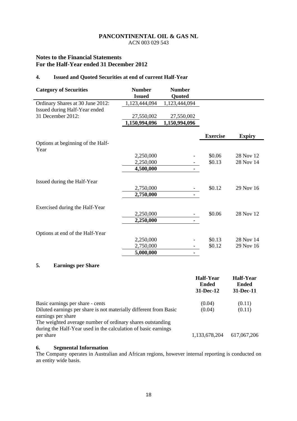ACN 003 029 543

# **Notes to the Financial Statements For the Half-Year ended 31 December 2012**

# **4. Issued and Quoted Securities at end of current Half-Year**

| <b>Category of Securities</b>             | <b>Number</b><br><b>Issued</b> | <b>Number</b><br>Quoted |                 |               |
|-------------------------------------------|--------------------------------|-------------------------|-----------------|---------------|
| Ordinary Shares at 30 June 2012:          | 1,123,444,094                  | 1,123,444,094           |                 |               |
| Issued during Half-Year ended             |                                |                         |                 |               |
| 31 December 2012:                         | 27,550,002                     | 27,550,002              |                 |               |
|                                           | 1,150,994,096                  | 1,150,994,096           |                 |               |
|                                           |                                |                         | <b>Exercise</b> | <b>Expiry</b> |
| Options at beginning of the Half-<br>Year |                                |                         |                 |               |
|                                           | 2,250,000                      |                         | \$0.06          | 28 Nov 12     |
|                                           | 2,250,000                      |                         | \$0.13          | 28 Nov 14     |
|                                           | 4,500,000                      |                         |                 |               |
| Issued during the Half-Year               |                                |                         |                 |               |
|                                           | 2,750,000                      |                         | \$0.12          | 29 Nov 16     |
|                                           | 2,750,000                      | ٠                       |                 |               |
| Exercised during the Half-Year            |                                |                         |                 |               |
|                                           | 2,250,000                      |                         | \$0.06          | 28 Nov 12     |
|                                           | 2,250,000                      | ٠                       |                 |               |
| Options at end of the Half-Year           |                                |                         |                 |               |
|                                           | 2,250,000                      |                         | \$0.13          | 28 Nov 14     |
|                                           | 2,750,000                      |                         | \$0.12          | 29 Nov 16     |
|                                           | 5,000,000                      | ۰                       |                 |               |

# **5. Earnings per Share**

|                                                                                         | <b>Half-Year</b><br><b>Ended</b><br>$31 - Dec-12$ | Half-Year<br><b>Ended</b><br>31-Dec-11 |
|-----------------------------------------------------------------------------------------|---------------------------------------------------|----------------------------------------|
| Basic earnings per share - cents                                                        | (0.04)                                            | (0.11)                                 |
| Diluted earnings per share is not materially different from Basic<br>earnings per share | (0.04)                                            | (0.11)                                 |
| The weighted average number of ordinary shares outstanding                              |                                                   |                                        |
| during the Half-Year used in the calculation of basic earnings<br>per share             | 1,133,678,204                                     | 617,067,206                            |

### **6. Segmental Information**

The Company operates in Australian and African regions, however internal reporting is conducted on an entity wide basis.